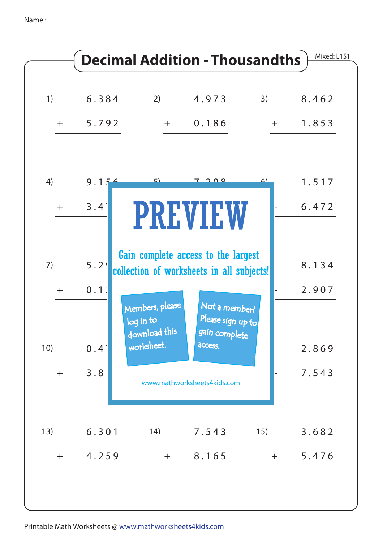Name :